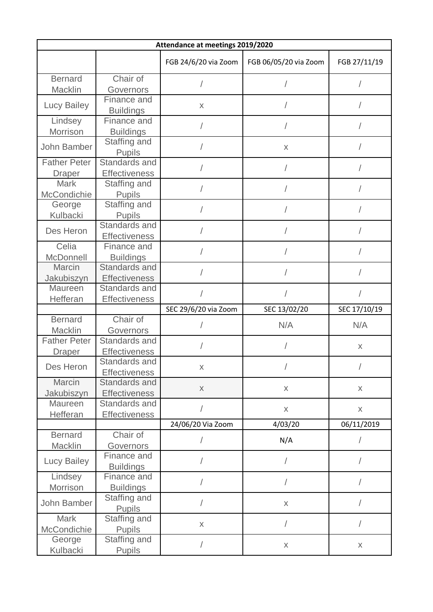| Attendance at meetings 2019/2020 |                                      |                      |                       |              |  |  |
|----------------------------------|--------------------------------------|----------------------|-----------------------|--------------|--|--|
|                                  |                                      | FGB 24/6/20 via Zoom | FGB 06/05/20 via Zoom | FGB 27/11/19 |  |  |
| <b>Bernard</b>                   | Chair of                             |                      |                       |              |  |  |
| Macklin                          | Governors                            |                      |                       |              |  |  |
| Lucy Bailey                      | Finance and                          | X                    |                       |              |  |  |
|                                  | <b>Buildings</b>                     |                      |                       |              |  |  |
| Lindsey                          | Finance and                          |                      |                       |              |  |  |
| Morrison                         | <b>Buildings</b>                     |                      |                       |              |  |  |
| John Bamber                      | Staffing and                         |                      | X                     |              |  |  |
| <b>Father Peter</b>              | <b>Pupils</b><br>Standards and       |                      |                       |              |  |  |
|                                  |                                      |                      |                       |              |  |  |
| <b>Draper</b><br><b>Mark</b>     | <b>Effectiveness</b><br>Staffing and |                      |                       |              |  |  |
| McCondichie                      | <b>Pupils</b>                        |                      |                       |              |  |  |
| George                           | Staffing and                         |                      |                       |              |  |  |
| Kulbacki                         | <b>Pupils</b>                        |                      |                       |              |  |  |
|                                  | Standards and                        |                      |                       |              |  |  |
| Des Heron                        | <b>Effectiveness</b>                 |                      |                       |              |  |  |
| Celia                            | Finance and                          |                      |                       |              |  |  |
| McDonnell                        | <b>Buildings</b>                     |                      |                       |              |  |  |
| Marcin                           | Standards and                        |                      |                       |              |  |  |
| Jakubiszyn                       | <b>Effectiveness</b>                 |                      |                       |              |  |  |
| Maureen                          | Standards and                        |                      |                       |              |  |  |
| Hefferan                         | <b>Effectiveness</b>                 |                      |                       |              |  |  |
|                                  |                                      | SEC 29/6/20 via Zoom | SEC 13/02/20          | SEC 17/10/19 |  |  |
| <b>Bernard</b>                   | Chair of                             |                      |                       |              |  |  |
| Macklin                          | Governors                            |                      | N/A                   | N/A          |  |  |
| <b>Father Peter</b>              | Standards and                        |                      |                       |              |  |  |
| <b>Draper</b>                    | <b>Effectiveness</b>                 |                      |                       | X            |  |  |
| Des Heron                        | Standards and                        | X                    |                       |              |  |  |
|                                  | <b>Effectiveness</b>                 |                      |                       |              |  |  |
| Marcin                           | Standards and                        |                      |                       |              |  |  |
| Jakubiszyn                       | <b>Effectiveness</b>                 | $\mathsf X$          | $\mathsf X$           | X            |  |  |
| Maureen                          | Standards and                        |                      | $\mathsf X$           | $\mathsf X$  |  |  |
| Hefferan                         | <b>Effectiveness</b>                 |                      |                       |              |  |  |
|                                  |                                      | 24/06/20 Via Zoom    | 4/03/20               | 06/11/2019   |  |  |
| <b>Bernard</b>                   | Chair of                             |                      | N/A                   |              |  |  |
| Macklin                          | Governors                            |                      |                       |              |  |  |
| <b>Lucy Bailey</b>               | Finance and                          |                      | $\sqrt{\phantom{a}}$  |              |  |  |
|                                  | <b>Buildings</b>                     |                      |                       |              |  |  |
| Lindsey                          | Finance and                          |                      | $\sqrt{2}$            |              |  |  |
| Morrison                         | <b>Buildings</b>                     |                      |                       |              |  |  |
| John Bamber                      | Staffing and                         |                      | $\mathsf X$           |              |  |  |
|                                  | <b>Pupils</b>                        |                      |                       |              |  |  |
| <b>Mark</b>                      | Staffing and                         | $\mathsf X$          | $\sqrt{2}$            |              |  |  |
| McCondichie                      | <b>Pupils</b>                        |                      |                       |              |  |  |
| George                           | Staffing and                         |                      | $\mathsf X$           | X            |  |  |
| Kulbacki                         | <b>Pupils</b>                        |                      |                       |              |  |  |